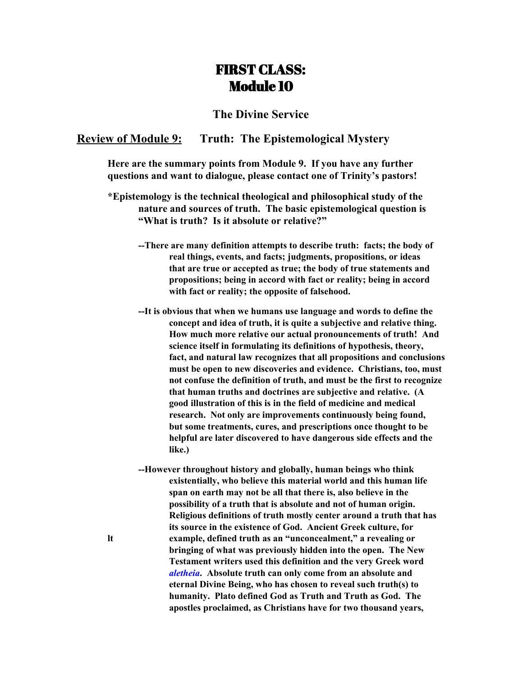# FIRST CLASS: Module 10

# **The Divine Service**

### **Review of Module 9: Truth: The Epistemological Mystery**

**Here are the summary points from Module 9. If you have any further questions and want to dialogue, please contact one of Trinity's pastors!**

**\*Epistemology is the technical theological and philosophical study of the nature and sources of truth. The basic epistemological question is "What is truth? Is it absolute or relative?"**

- **--There are many definition attempts to describe truth: facts; the body of real things, events, and facts; judgments, propositions, or ideas that are true or accepted as true; the body of true statements and propositions; being in accord with fact or reality; being in accord with fact or reality; the opposite of falsehood.**
- **--It is obvious that when we humans use language and words to define the concept and idea of truth, it is quite a subjective and relative thing. How much more relative our actual pronouncements of truth! And science itself in formulating its definitions of hypothesis, theory, fact, and natural law recognizes that all propositions and conclusions must be open to new discoveries and evidence. Christians, too, must not confuse the definition of truth, and must be the first to recognize that human truths and doctrines are subjective and relative. (A good illustration of this is in the field of medicine and medical research. Not only are improvements continuously being found, but some treatments, cures, and prescriptions once thought to be helpful are later discovered to have dangerous side effects and the like.)**
- **--However throughout history and globally, human beings who think existentially, who believe this material world and this human life span on earth may not be all that there is, also believe in the possibility of a truth that is absolute and not of human origin. Religious definitions of truth mostly center around a truth that has its source in the existence of God. Ancient Greek culture, for lt example, defined truth as an "unconcealment," a revealing or bringing of what was previously hidden into the open. The New Testament writers used this definition and the very Greek word** *aletheia***. Absolute truth can only come from an absolute and eternal Divine Being, who has chosen to reveal such truth(s) to humanity. Plato defined God as Truth and Truth as God. The apostles proclaimed, as Christians have for two thousand years,**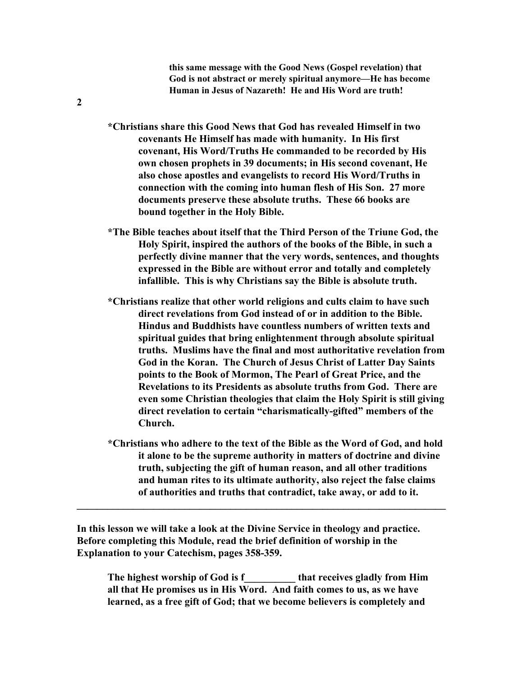**this same message with the Good News (Gospel revelation) that God is not abstract or merely spiritual anymore—He has become Human in Jesus of Nazareth! He and His Word are truth!**

- **\*Christians share this Good News that God has revealed Himself in two covenants He Himself has made with humanity. In His first covenant, His Word/Truths He commanded to be recorded by His own chosen prophets in 39 documents; in His second covenant, He also chose apostles and evangelists to record His Word/Truths in connection with the coming into human flesh of His Son. 27 more documents preserve these absolute truths. These 66 books are bound together in the Holy Bible.**
- **\*The Bible teaches about itself that the Third Person of the Triune God, the Holy Spirit, inspired the authors of the books of the Bible, in such a perfectly divine manner that the very words, sentences, and thoughts expressed in the Bible are without error and totally and completely infallible. This is why Christians say the Bible is absolute truth.**
- **\*Christians realize that other world religions and cults claim to have such direct revelations from God instead of or in addition to the Bible. Hindus and Buddhists have countless numbers of written texts and spiritual guides that bring enlightenment through absolute spiritual truths. Muslims have the final and most authoritative revelation from God in the Koran. The Church of Jesus Christ of Latter Day Saints points to the Book of Mormon, The Pearl of Great Price, and the Revelations to its Presidents as absolute truths from God. There are even some Christian theologies that claim the Holy Spirit is still giving direct revelation to certain "charismatically-gifted" members of the Church.**
- **\*Christians who adhere to the text of the Bible as the Word of God, and hold it alone to be the supreme authority in matters of doctrine and divine truth, subjecting the gift of human reason, and all other traditions and human rites to its ultimate authority, also reject the false claims of authorities and truths that contradict, take away, or add to it.**

**In this lesson we will take a look at the Divine Service in theology and practice. Before completing this Module, read the brief definition of worship in the Explanation to your Catechism, pages 358-359.**

**\_\_\_\_\_\_\_\_\_\_\_\_\_\_\_\_\_\_\_\_\_\_\_\_\_\_\_\_\_\_\_\_\_\_\_\_\_\_\_\_\_\_\_\_\_\_\_\_\_\_\_\_\_\_\_\_\_\_\_\_\_\_\_\_\_\_\_\_\_\_\_\_**

**The highest worship of God is f\_\_\_\_\_\_\_\_\_\_ that receives gladly from Him all that He promises us in His Word. And faith comes to us, as we have learned, as a free gift of God; that we become believers is completely and**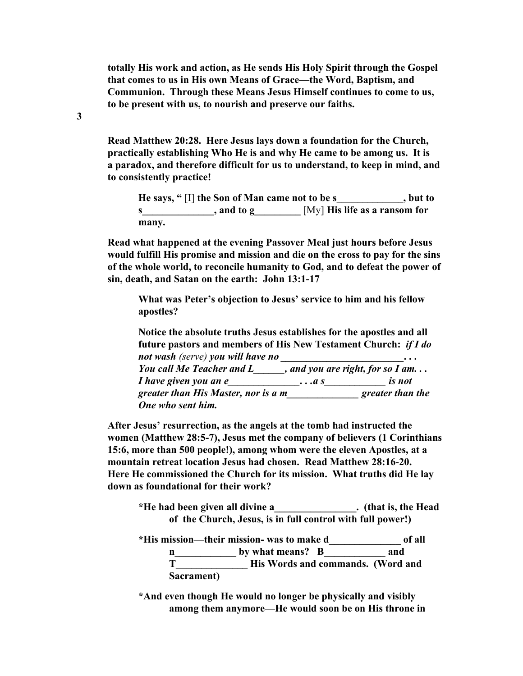**totally His work and action, as He sends His Holy Spirit through the Gospel that comes to us in His own Means of Grace—the Word, Baptism, and Communion. Through these Means Jesus Himself continues to come to us, to be present with us, to nourish and preserve our faiths.**

**Read Matthew 20:28. Here Jesus lays down a foundation for the Church, practically establishing Who He is and why He came to be among us. It is a paradox, and therefore difficult for us to understand, to keep in mind, and to consistently practice!**

**He says, "** [I] **the Son of Man came not to be s\_\_\_\_\_\_\_\_\_\_\_\_\_, but to s\_\_\_\_\_\_\_\_\_\_\_\_\_\_, and to g\_\_\_\_\_\_\_\_\_** [My] **His life as a ransom for many.**

**Read what happened at the evening Passover Meal just hours before Jesus would fulfill His promise and mission and die on the cross to pay for the sins of the whole world, to reconcile humanity to God, and to defeat the power of sin, death, and Satan on the earth: John 13:1-17**

**What was Peter's objection to Jesus' service to him and his fellow apostles?**

**Notice the absolute truths Jesus establishes for the apostles and all future pastors and members of His New Testament Church:** *if I do not wash (serve) you will have no \_\_\_\_\_\_\_\_\_\_\_\_\_\_\_\_\_\_\_\_\_\_\_\_. . . You call Me Teacher and L\_\_\_\_\_\_, and you are right, for so I am. . . I have given you an e\_\_\_\_\_\_\_\_\_\_\_\_\_\_. . .a s\_\_\_\_\_\_\_\_\_\_\_\_ is not greater than His Master, nor is a m\_\_\_\_\_\_\_\_\_\_\_\_\_\_ greater than the One who sent him.*

**After Jesus' resurrection, as the angels at the tomb had instructed the women (Matthew 28:5-7), Jesus met the company of believers (1 Corinthians 15:6, more than 500 people!), among whom were the eleven Apostles, at a mountain retreat location Jesus had chosen. Read Matthew 28:16-20. Here He commissioned the Church for its mission. What truths did He lay down as foundational for their work?**

**\*He had been given all divine a\_\_\_\_\_\_\_\_\_\_\_\_\_\_\_\_. (that is, the Head of the Church, Jesus, is in full control with full power!)**

**\*His mission—their mission- was to make d\_\_\_\_\_\_\_\_\_\_\_\_\_\_ of all n\_\_\_\_\_\_\_\_\_\_\_\_ by what means? B\_\_\_\_\_\_\_\_\_\_\_\_ and T\_\_\_\_\_\_\_\_\_\_\_\_\_\_ His Words and commands. (Word and Sacrament)**

**\*And even though He would no longer be physically and visibly among them anymore—He would soon be on His throne in**

**3**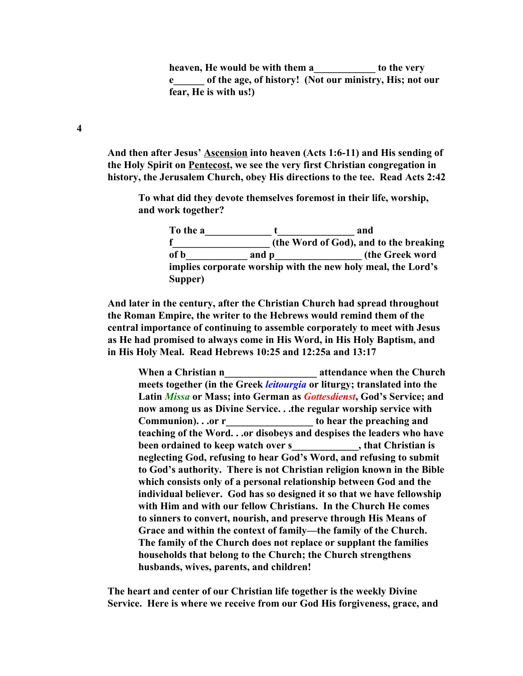**heaven, He would be with them a\_\_\_\_\_\_\_\_\_\_\_\_ to the very e\_\_\_\_\_\_ of the age, of history! (Not our ministry, His; not our fear, He is with us!)**

**And then after Jesus' Ascension into heaven (Acts 1:6-11) and His sending of the Holy Spirit on Pentecost, we see the very first Christian congregation in history, the Jerusalem Church, obey His directions to the tee. Read Acts 2:42**

**To what did they devote themselves foremost in their life, worship, and work together?**

> **To the a\_\_\_\_\_\_\_\_\_\_\_\_\_ t\_\_\_\_\_\_\_\_\_\_\_\_\_\_\_ and f\_\_\_\_\_\_\_\_\_\_\_\_\_\_\_\_\_\_\_ (the Word of God), and to the breaking of b\_\_\_\_\_\_\_\_\_\_\_\_ and p\_\_\_\_\_\_\_\_\_\_\_\_\_\_\_\_\_ (the Greek word implies corporate worship with the new holy meal, the Lord's Supper)**

**And later in the century, after the Christian Church had spread throughout the Roman Empire, the writer to the Hebrews would remind them of the central importance of continuing to assemble corporately to meet with Jesus as He had promised to always come in His Word, in His Holy Baptism, and in His Holy Meal. Read Hebrews 10:25 and 12:25a and 13:17**

**When a Christian n\_\_\_\_\_\_\_\_\_\_\_\_\_\_\_\_\_\_ attendance when the Church meets together (in the Greek** *leitourgia* **or liturgy; translated into the Latin** *Missa* **or Mass; into German as** *Gottesdienst***, God's Service; and now among us as Divine Service. . .the regular worship service with Communion). . .or r\_\_\_\_\_\_\_\_\_\_\_\_\_\_\_\_\_ to hear the preaching and teaching of the Word. . .or disobeys and despises the leaders who have been ordained to keep watch over s\_\_\_\_\_\_\_\_\_\_\_\_\_, that Christian is neglecting God, refusing to hear God's Word, and refusing to submit to God's authority. There is not Christian religion known in the Bible which consists only of a personal relationship between God and the individual believer. God has so designed it so that we have fellowship with Him and with our fellow Christians. In the Church He comes to sinners to convert, nourish, and preserve through His Means of Grace and within the context of family—the family of the Church. The family of the Church does not replace or supplant the families households that belong to the Church; the Church strengthens husbands, wives, parents, and children!**

**The heart and center of our Christian life together is the weekly Divine Service. Here is where we receive from our God His forgiveness, grace, and**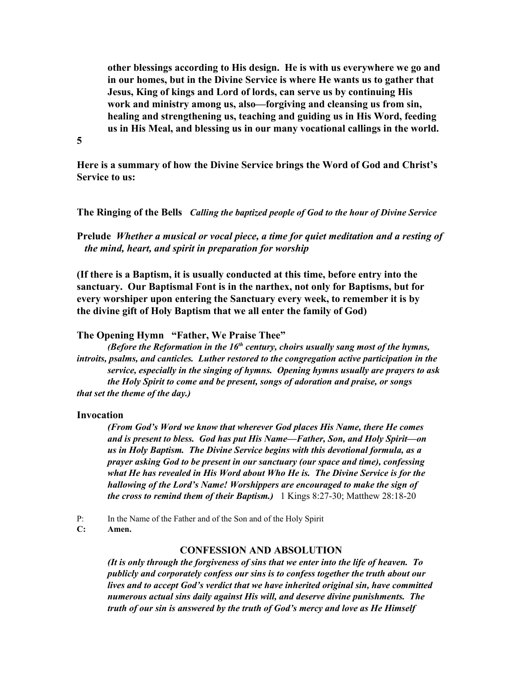**other blessings according to His design. He is with us everywhere we go and in our homes, but in the Divine Service is where He wants us to gather that Jesus, King of kings and Lord of lords, can serve us by continuing His work and ministry among us, also—forgiving and cleansing us from sin, healing and strengthening us, teaching and guiding us in His Word, feeding us in His Meal, and blessing us in our many vocational callings in the world.**

**5**

**Here is a summary of how the Divine Service brings the Word of God and Christ's Service to us:**

### **The Ringing of the Bells** *Calling the baptized people of God to the hour of Divine Service*

**Prelude** *Whether a musical or vocal piece, a time for quiet meditation and a resting of the mind, heart, and spirit in preparation for worship*

**(If there is a Baptism, it is usually conducted at this time, before entry into the sanctuary. Our Baptismal Font is in the narthex, not only for Baptisms, but for every worshiper upon entering the Sanctuary every week, to remember it is by the divine gift of Holy Baptism that we all enter the family of God)**

### **The Opening Hymn "Father, We Praise Thee"**

*(Before the Reformation in the 16 th century, choirs usually sang most of the hymns, introits, psalms, and canticles. Luther restored to the congregation active participation in the service, especially in the singing of hymns. Opening hymns usually are prayers to ask the Holy Spirit to come and be present, songs of adoration and praise, or songs that set the theme of the day.)*

### **Invocation**

*(From God's Word we know that wherever God places His Name, there He comes and is present to bless. God has put His Name—Father, Son, and Holy Spirit—on us in Holy Baptism. The Divine Service begins with this devotional formula, as a prayer asking God to be present in our sanctuary (our space and time), confessing what He has revealed in His Word about Who He is. The Divine Service is for the hallowing of the Lord's Name! Worshippers are encouraged to make the sign of the cross to remind them of their Baptism.)* 1 Kings 8:27-30; Matthew 28:18-20

- P: In the Name of the Father and of the Son and of the Holy Spirit
- **C: Amen.**

# **CONFESSION AND ABSOLUTION**

*(It is only through the forgiveness of sins that we enter into the life of heaven. To publicly and corporately confess our sins is to confess together the truth about our lives and to accept God's verdict that we have inherited original sin, have committed numerous actual sins daily against His will, and deserve divine punishments. The truth of our sin is answered by the truth of God's mercy and love as He Himself*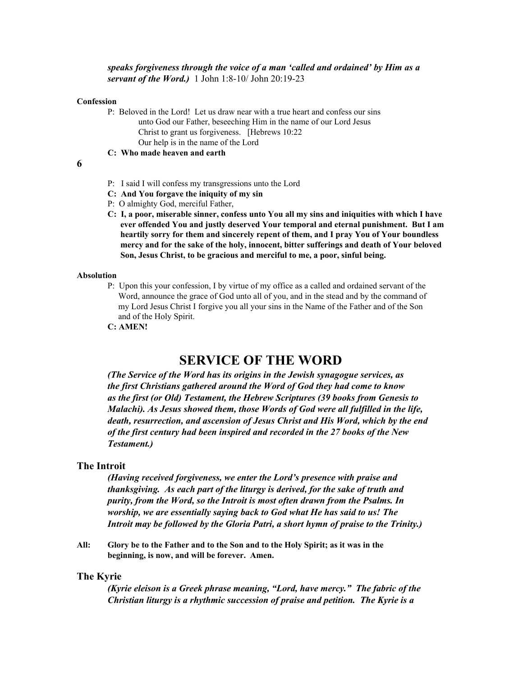### *speaks forgiveness through the voice of a man 'called and ordained' by Him as a servant of the Word.)* 1 John 1:8-10/ John 20:19-23

#### **Confession**

P: Beloved in the Lord! Let us draw near with a true heart and confess our sins unto God our Father, beseeching Him in the name of our Lord Jesus Christ to grant us forgiveness. [Hebrews 10:22 Our help is in the name of the Lord

**C: Who made heaven and earth**

### **6**

- P: I said I will confess my transgressions unto the Lord
- **C: And You forgave the iniquity of my sin**
- P: O almighty God, merciful Father,
- **C: I, a poor, miserable sinner, confess unto You all my sins and iniquities with which I have ever offended You and justly deserved Your temporal and eternal punishment. But I am heartily sorry for them and sincerely repent of them, and I pray You of Your boundless mercy and for the sake of the holy, innocent, bitter sufferings and death of Your beloved Son, Jesus Christ, to be gracious and merciful to me, a poor, sinful being.**

#### **Absolution**

- P: Upon this your confession, I by virtue of my office as a called and ordained servant of the Word, announce the grace of God unto all of you, and in the stead and by the command of my Lord Jesus Christ I forgive you all your sins in the Name of the Father and of the Son and of the Holy Spirit.
- **C: AMEN!**

# **SERVICE OF THE WORD**

*(The Service of the Word has its origins in the Jewish synagogue services, as the first Christians gathered around the Word of God they had come to know as the first (or Old) Testament, the Hebrew Scriptures (39 books from Genesis to Malachi). As Jesus showed them, those Words of God were all fulfilled in the life, death, resurrection, and ascension of Jesus Christ and His Word, which by the end of the first century had been inspired and recorded in the 27 books of the New Testament.)*

### **The Introit**

*(Having received forgiveness, we enter the Lord's presence with praise and thanksgiving. As each part of the liturgy is derived, for the sake of truth and purity, from the Word, so the Introit is most often drawn from the Psalms. In worship, we are essentially saying back to God what He has said to us! The Introit may be followed by the Gloria Patri, a short hymn of praise to the Trinity.)*

**All: Glory be to the Father and to the Son and to the Holy Spirit; as it was in the beginning, is now, and will be forever. Amen.**

### **The Kyrie**

*(Kyrie eleison is a Greek phrase meaning, "Lord, have mercy." The fabric of the Christian liturgy is a rhythmic succession of praise and petition. The Kyrie is a*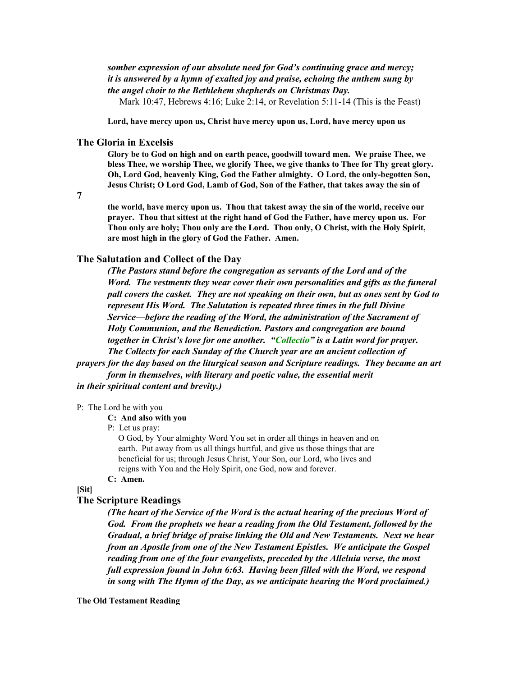### *somber expression of our absolute need for God's continuing grace and mercy; it is answered by a hymn of exalted joy and praise, echoing the anthem sung by the angel choir to the Bethlehem shepherds on Christmas Day.*

Mark 10:47, Hebrews 4:16; Luke 2:14, or Revelation 5:11-14 (This is the Feast)

**Lord, have mercy upon us, Christ have mercy upon us, Lord, have mercy upon us**

### **The Gloria in Excelsis**

**Glory be to God on high and on earth peace, goodwill toward men. We praise Thee, we bless Thee, we worship Thee, we glorify Thee, we give thanks to Thee for Thy great glory. Oh, Lord God, heavenly King, God the Father almighty. O Lord, the only-begotten Son, Jesus Christ; O Lord God, Lamb of God, Son of the Father, that takes away the sin of**

**7**

**the world, have mercy upon us. Thou that takest away the sin of the world, receive our prayer. Thou that sittest at the right hand of God the Father, have mercy upon us. For Thou only are holy; Thou only are the Lord. Thou only, O Christ, with the Holy Spirit, are most high in the glory of God the Father. Amen.**

### **The Salutation and Collect of the Day**

*(The Pastors stand before the congregation as servants of the Lord and of the Word. The vestments they wear cover their own personalities and gifts as the funeral pall covers the casket. They are not speaking on their own, but as ones sent by God to represent His Word. The Salutation is repeated three times in the full Divine Service—before the reading of the Word, the administration of the Sacrament of Holy Communion, and the Benediction. Pastors and congregation are bound together in Christ's love for one another. "Collectio" is a Latin word for prayer. The Collects for each Sunday of the Church year are an ancient collection of*

*prayers for the day based on the liturgical season and Scripture readings. They became an art form in themselves, with literary and poetic value, the essential merit in their spiritual content and brevity.)*

#### P: The Lord be with you

#### **C: And also with you**

#### P: Let us pray:

O God, by Your almighty Word You set in order all things in heaven and on earth. Put away from us all things hurtful, and give us those things that are beneficial for us; through Jesus Christ, Your Son, our Lord, who lives and reigns with You and the Holy Spirit, one God, now and forever.

**C: Amen.**

### **[Sit]**

### **The Scripture Readings**

*(The heart of the Service of the Word is the actual hearing of the precious Word of God. From the prophets we hear a reading from the Old Testament, followed by the Gradual, a brief bridge of praise linking the Old and New Testaments. Next we hear from an Apostle from one of the New Testament Epistles. We anticipate the Gospel reading from one of the four evangelists, preceded by the Alleluia verse, the most full expression found in John 6:63. Having been filled with the Word, we respond in song with The Hymn of the Day, as we anticipate hearing the Word proclaimed.)*

**The Old Testament Reading**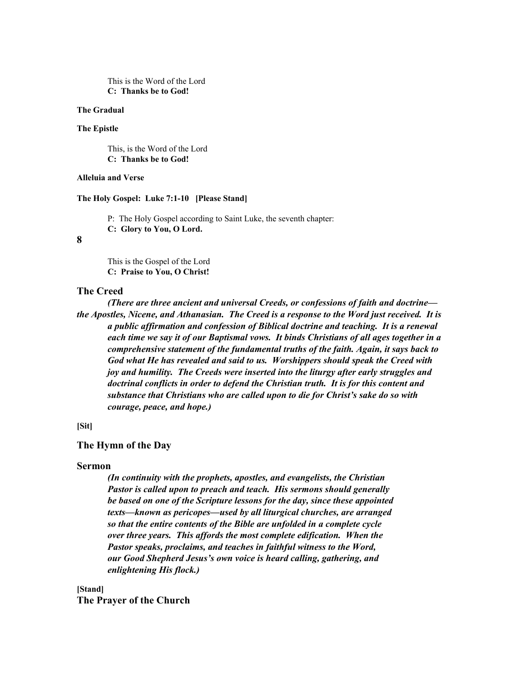This is the Word of the Lord **C: Thanks be to God!**

#### **The Gradual**

#### **The Epistle**

This, is the Word of the Lord **C: Thanks be to God!**

### **Alleluia and Verse**

#### **The Holy Gospel: Luke 7:1-10 [Please Stand]**

P: The Holy Gospel according to Saint Luke, the seventh chapter: **C: Glory to You, O Lord.**

### **8**

This is the Gospel of the Lord **C: Praise to You, O Christ!**

### **The Creed**

*(There are three ancient and universal Creeds, or confessions of faith and doctrine the Apostles, Nicene, and Athanasian. The Creed is a response to the Word just received. It is a public af irmation and confession of Biblical doctrine and teaching. It is a renewal each time we say it of our Baptismal vows. It binds Christians of all ages together in a comprehensive statement of the fundamental truths of the faith. Again, it says back to God what He has revealed and said to us. Worshippers should speak the Creed with joy and humility. The Creeds were inserted into the liturgy after early struggles and doctrinal conflicts in order to defend the Christian truth. It is for this content and substance that Christians who are called upon to die for Christ's sake do so with courage, peace, and hope.)*

### **[Sit]**

### **The Hymn of the Day**

#### **Sermon**

*(In continuity with the prophets, apostles, and evangelists, the Christian Pastor is called upon to preach and teach. His sermons should generally be based on one of the Scripture lessons for the day, since these appointed texts—known as pericopes—used by all liturgical churches, are arranged so that the entire contents of the Bible are unfolded in a complete cycle over three years. This af ords the most complete edification. When the Pastor speaks, proclaims, and teaches in faithful witness to the Word, our Good Shepherd Jesus's own voice is heard calling, gathering, and enlightening His flock.)*

**[Stand] The Prayer of the Church**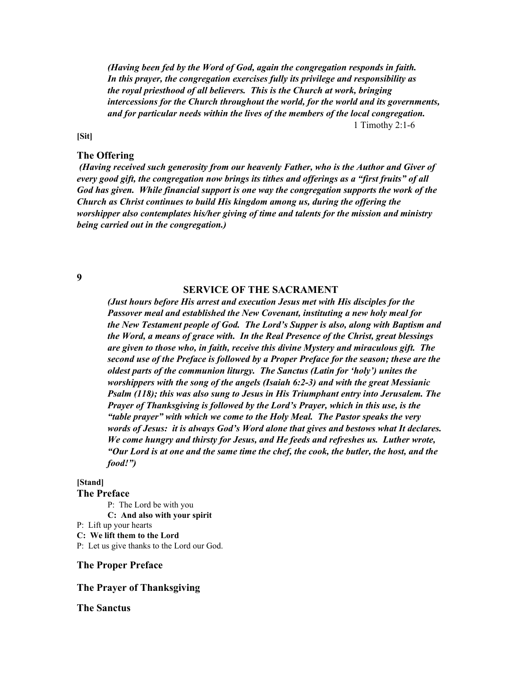*(Having been fed by the Word of God, again the congregation responds in faith. In this prayer, the congregation exercises fully its privilege and responsibility as the royal priesthood of all believers. This is the Church at work, bringing intercessions for the Church throughout the world, for the world and its governments, and for particular needs within the lives of the members of the local congregation.* 1 Timothy 2:1-6

**[Sit]**

### **The Offering**

*(Having received such generosity from our heavenly Father, who is the Author and Giver of every good gift, the congregation now brings its tithes and of erings as a "first fruits" of all God has given. While financial support is one way the congregation supports the work of the Church as Christ continues to build His kingdom among us, during the of ering the worshipper also contemplates his/her giving of time and talents for the mission and ministry being carried out in the congregation.)*

**9**

#### **SERVICE OF THE SACRAMENT**

*(Just hours before His arrest and execution Jesus met with His disciples for the Passover meal and established the New Covenant, instituting a new holy meal for the New Testament people of God. The Lord's Supper is also, along with Baptism and the Word, a means of grace with. In the Real Presence of the Christ, great blessings are given to those who, in faith, receive this divine Mystery and miraculous gift. The second use of the Preface is followed by a Proper Preface for the season; these are the oldest parts of the communion liturgy. The Sanctus (Latin for 'holy') unites the worshippers with the song of the angels (Isaiah 6:2-3) and with the great Messianic Psalm (118); this was also sung to Jesus in His Triumphant entry into Jerusalem. The Prayer of Thanksgiving is followed by the Lord's Prayer, which in this use, is the "table prayer" with which we come to the Holy Meal. The Pastor speaks the very words of Jesus: it is always God's Word alone that gives and bestows what It declares. We come hungry and thirsty for Jesus, and He feeds and refreshes us. Luther wrote, "Our Lord is at one and the same time the chef, the cook, the butler, the host, and the food!")*

# **[Stand]**

**The Preface**

P: The Lord be with you **C: And also with your spirit** P: Lift up your hearts **C: We lift them to the Lord** P: Let us give thanks to the Lord our God.

### **The Proper Preface**

### **The Prayer of Thanksgiving**

### **The Sanctus**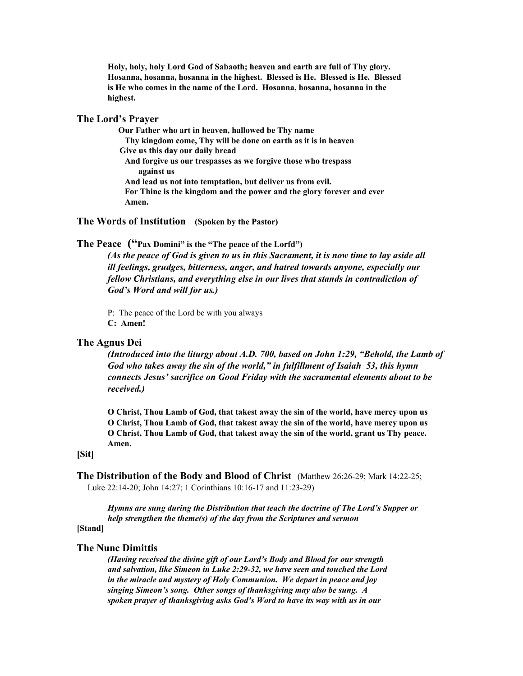**Holy, holy, holy Lord God of Sabaoth; heaven and earth are full of Thy glory. Hosanna, hosanna, hosanna in the highest. Blessed is He. Blessed is He. Blessed is He who comes in the name of the Lord. Hosanna, hosanna, hosanna in the highest.**

### **The Lord's Prayer**

**Our Father who art in heaven, hallowed be Thy name Thy kingdom come, Thy will be done on earth as it is in heaven Give us this day our daily bread And forgive us our trespasses as we forgive those who trespass against us And lead us not into temptation, but deliver us from evil. For Thine is the kingdom and the power and the glory forever and ever Amen.**

### **The Words of Institution (Spoken by the Pastor)**

**The Peace ("Pax Domini" is the "The peace of the Lorfd")**

(As the peace of God is given to us in this Sacrament, it is now time to lay aside all *ill feelings, grudges, bitterness, anger, and hatred towards anyone, especially our fellow Christians, and everything else in our lives that stands in contradiction of God's Word and will for us.)*

P: The peace of the Lord be with you always **C: Amen!**

### **The Agnus Dei**

*(Introduced into the liturgy about A.D. 700, based on John 1:29, "Behold, the Lamb of God who takes away the sin of the world," in fulfillment of Isaiah 53, this hymn connects Jesus' sacrifice on Good Friday with the sacramental elements about to be received.)*

**O Christ, Thou Lamb of God, that takest away the sin of the world, have mercy upon us O Christ, Thou Lamb of God, that takest away the sin of the world, have mercy upon us O Christ, Thou Lamb of God, that takest away the sin of the world, grant us Thy peace. Amen.**

### **[Sit]**

**The Distribution of the Body and Blood of Christ** (Matthew 26:26-29; Mark 14:22-25; Luke 22:14-20; John 14:27; 1 Corinthians 10:16-17 and 11:23-29)

*Hymns are sung during the Distribution that teach the doctrine of The Lord's Supper or help strengthen the theme(s) of the day from the Scriptures and sermon*

### **[Stand]**

### **The Nunc Dimittis**

*(Having received the divine gift of our Lord's Body and Blood for our strength and salvation, like Simeon in Luke 2:29-32, we have seen and touched the Lord in the miracle and mystery of Holy Communion. We depart in peace and joy singing Simeon's song. Other songs of thanksgiving may also be sung. A spoken prayer of thanksgiving asks God's Word to have its way with us in our*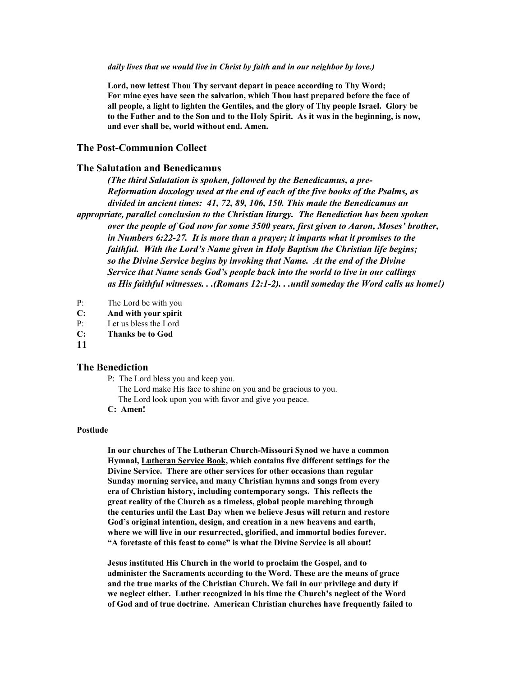#### *daily lives that we would live in Christ by faith and in our neighbor by love.)*

**Lord, now lettest Thou Thy servant depart in peace according to Thy Word; For mine eyes have seen the salvation, which Thou hast prepared before the face of all people, a light to lighten the Gentiles, and the glory of Thy people Israel. Glory be** to the Father and to the Son and to the Holy Spirit. As it was in the beginning, is now, **and ever shall be, world without end. Amen.**

### **The Post-Communion Collect**

### **The Salutation and Benedicamus**

*(The third Salutation is spoken, followed by the Benedicamus, a pre-Reformation doxology used at the end of each of the five books of the Psalms, as divided in ancient times: 41, 72, 89, 106, 150. This made the Benedicamus an appropriate, parallel conclusion to the Christian liturgy. The Benediction has been spoken over the people of God now for some 3500 years, first given to Aaron, Moses' brother, in Numbers 6:22-27. It is more than a prayer; it imparts what it promises to the faithful. With the Lord's Name given in Holy Baptism the Christian life begins; so the Divine Service begins by invoking that Name. At the end of the Divine Service that Name sends God's people back into the world to live in our callings as His faithful witnesses. . .(Romans 12:1-2). . .until someday the Word calls us home!)*

- P: The Lord be with you
- **C: And with your spirit**
- P: Let us bless the Lord
- **C: Thanks be to God**
- **11**

### **The Benediction**

- P: The Lord bless you and keep you.
	- The Lord make His face to shine on you and be gracious to you. The Lord look upon you with favor and give you peace.
- **C: Amen!**

#### **Postlude**

**In our churches of The Lutheran Church-Missouri Synod we have a common Hymnal, Lutheran Service Book, which contains five different settings for the Divine Service. There are other services for other occasions than regular Sunday morning service, and many Christian hymns and songs from every era of Christian history, including contemporary songs. This reflects the great reality of the Church as a timeless, global people marching through the centuries until the Last Day when we believe Jesus will return and restore God's original intention, design, and creation in a new heavens and earth, where we will live in our resurrected, glorified, and immortal bodies forever. "A foretaste of this feast to come" is what the Divine Service is all about!**

**Jesus instituted His Church in the world to proclaim the Gospel, and to administer the Sacraments according to the Word. These are the means of grace and the true marks of the Christian Church. We fail in our privilege and duty if we neglect either. Luther recognized in his time the Church's neglect of the Word of God and of true doctrine. American Christian churches have frequently failed to**